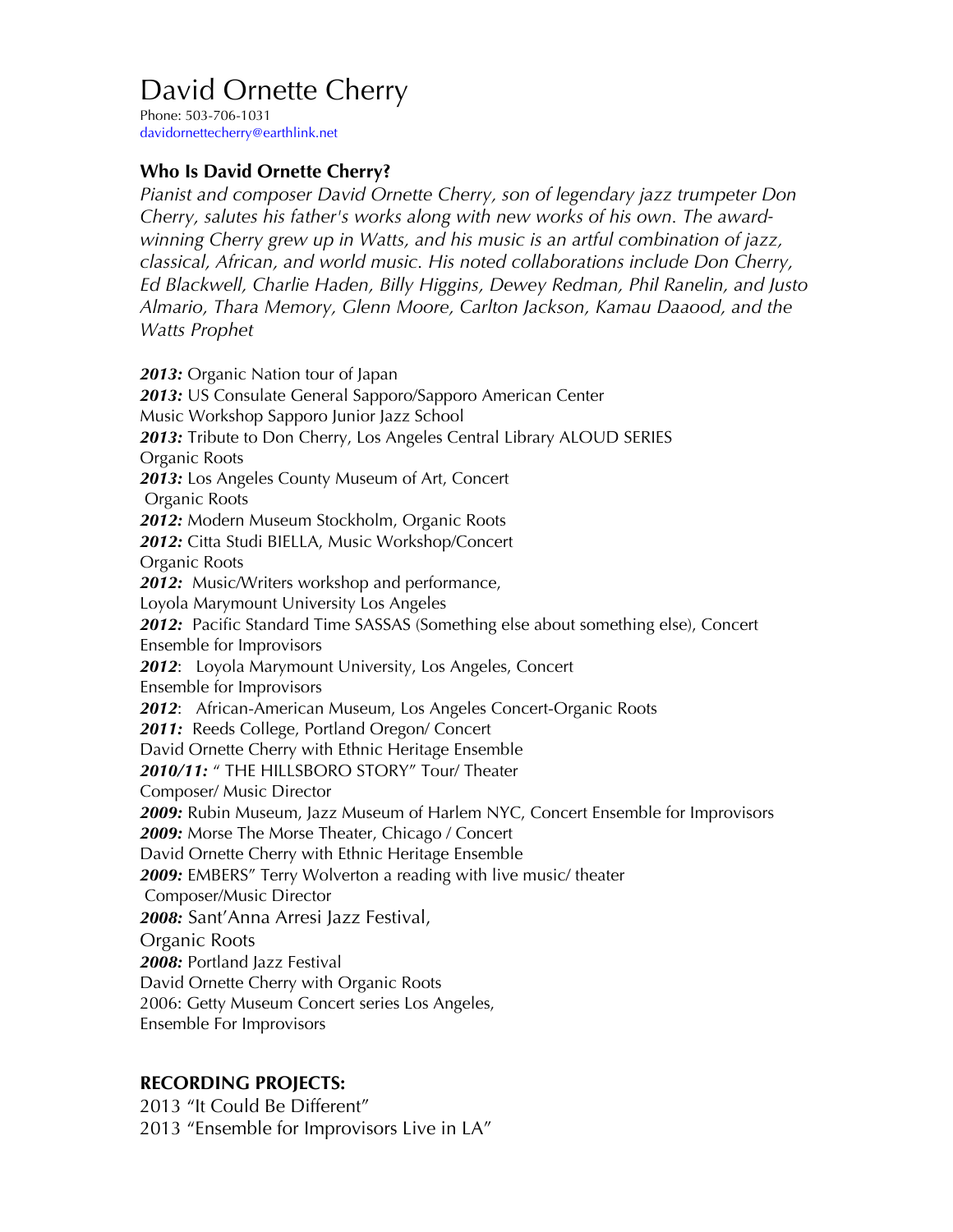## David Ornette Cherry

Phone: 503-706-1031 davidornettecherry@earthlink.net

## **Who Is David Ornette Cherry?**

*Pianist and composer David Ornette Cherry, son of legendary jazz trumpeter Don Cherry, salutes his father's works along with new works of his own. The awardwinning Cherry grew up in Watts, and his music is an artful combination of jazz, classical, African, and world music. His noted collaborations include Don Cherry, Ed Blackwell, Charlie Haden, Billy Higgins, Dewey Redman, Phil Ranelin, and Justo Almario, Thara Memory, Glenn Moore, Carlton Jackson, Kamau Daaood, and the Watts Prophet*

*2013:* Organic Nation tour of Japan *2013:* US Consulate General Sapporo/Sapporo American Center Music Workshop Sapporo Junior Jazz School *2013:* Tribute to Don Cherry, Los Angeles Central Library ALOUD SERIES Organic Roots *2013:* Los Angeles County Museum of Art, Concert Organic Roots *2012:* Modern Museum Stockholm, Organic Roots *2012:* Citta Studi BIELLA, Music Workshop/Concert Organic Roots *2012:* Music/Writers workshop and performance, Loyola Marymount University Los Angeles *2012:* Pacific Standard Time SASSAS (Something else about something else), Concert Ensemble for Improvisors *2012*: Loyola Marymount University, Los Angeles, Concert Ensemble for Improvisors *2012*: African-American Museum, Los Angeles Concert-Organic Roots *2011:* Reeds College, Portland Oregon/ Concert David Ornette Cherry with Ethnic Heritage Ensemble *2010/11:* " THE HILLSBORO STORY" Tour/ Theater Composer/ Music Director *2009:* Rubin Museum, Jazz Museum of Harlem NYC, Concert Ensemble for Improvisors *2009:* Morse The Morse Theater, Chicago / Concert David Ornette Cherry with Ethnic Heritage Ensemble *2009:* EMBERS" Terry Wolverton a reading with live music/ theater Composer/Music Director *2008:* Sant'Anna Arresi Jazz Festival, Organic Roots *2008:* Portland Jazz Festival David Ornette Cherry with Organic Roots 2006: Getty Museum Concert series Los Angeles, Ensemble For Improvisors

## **RECORDING PROJECTS:**

2013 "It Could Be Different" 2013 "Ensemble for Improvisors Live in LA"